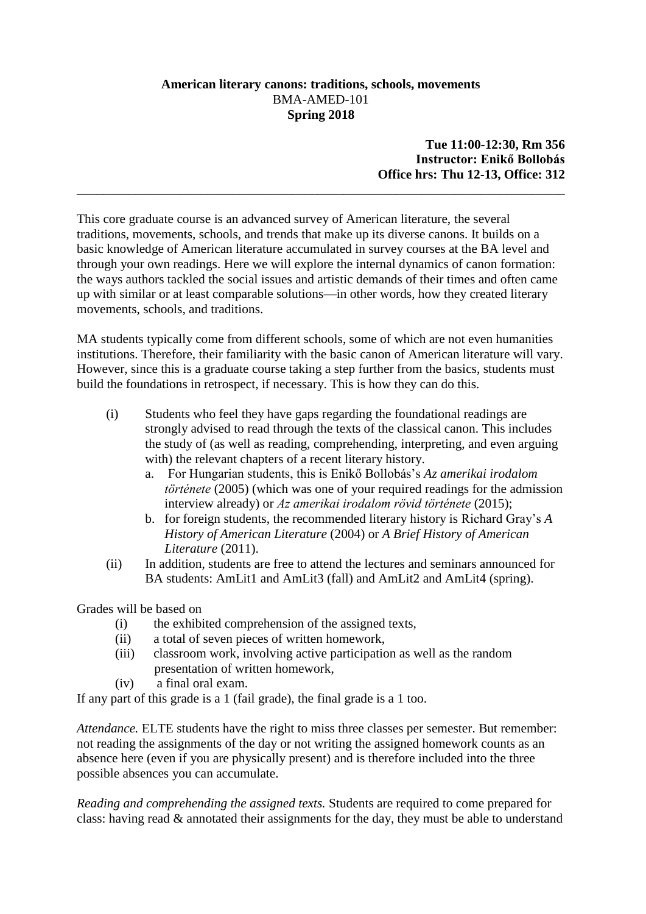# **American literary canons: traditions, schools, movements** BMA-AMED-101 **Spring 2018**

**Tue 11:00-12:30, Rm 356 Instructor: Enikő Bollobás Office hrs: Thu 12-13, Office: 312**

This core graduate course is an advanced survey of American literature, the several traditions, movements, schools, and trends that make up its diverse canons. It builds on a basic knowledge of American literature accumulated in survey courses at the BA level and through your own readings. Here we will explore the internal dynamics of canon formation: the ways authors tackled the social issues and artistic demands of their times and often came up with similar or at least comparable solutions—in other words, how they created literary movements, schools, and traditions.

\_\_\_\_\_\_\_\_\_\_\_\_\_\_\_\_\_\_\_\_\_\_\_\_\_\_\_\_\_\_\_\_\_\_\_\_\_\_\_\_\_\_\_\_\_\_\_\_\_\_\_\_\_\_\_\_\_\_\_\_\_\_\_\_\_\_\_\_\_\_\_\_\_\_\_

MA students typically come from different schools, some of which are not even humanities institutions. Therefore, their familiarity with the basic canon of American literature will vary. However, since this is a graduate course taking a step further from the basics, students must build the foundations in retrospect, if necessary. This is how they can do this.

- (i) Students who feel they have gaps regarding the foundational readings are strongly advised to read through the texts of the classical canon. This includes the study of (as well as reading, comprehending, interpreting, and even arguing with) the relevant chapters of a recent literary history.
	- a. For Hungarian students, this is Enikő Bollobás's *Az amerikai irodalom története* (2005) (which was one of your required readings for the admission interview already) or *Az amerikai irodalom rövid története* (2015);
	- b. for foreign students, the recommended literary history is Richard Gray's *A History of American Literature* (2004) or *A Brief History of American Literature* (2011).
- (ii) In addition, students are free to attend the lectures and seminars announced for BA students: AmLit1 and AmLit3 (fall) and AmLit2 and AmLit4 (spring).

Grades will be based on

- (i) the exhibited comprehension of the assigned texts,
- (ii) a total of seven pieces of written homework,
- (iii) classroom work, involving active participation as well as the random presentation of written homework,
- (iv) a final oral exam.

If any part of this grade is a 1 (fail grade), the final grade is a 1 too.

*Attendance.* ELTE students have the right to miss three classes per semester. But remember: not reading the assignments of the day or not writing the assigned homework counts as an absence here (even if you are physically present) and is therefore included into the three possible absences you can accumulate.

*Reading and comprehending the assigned texts.* Students are required to come prepared for class: having read & annotated their assignments for the day, they must be able to understand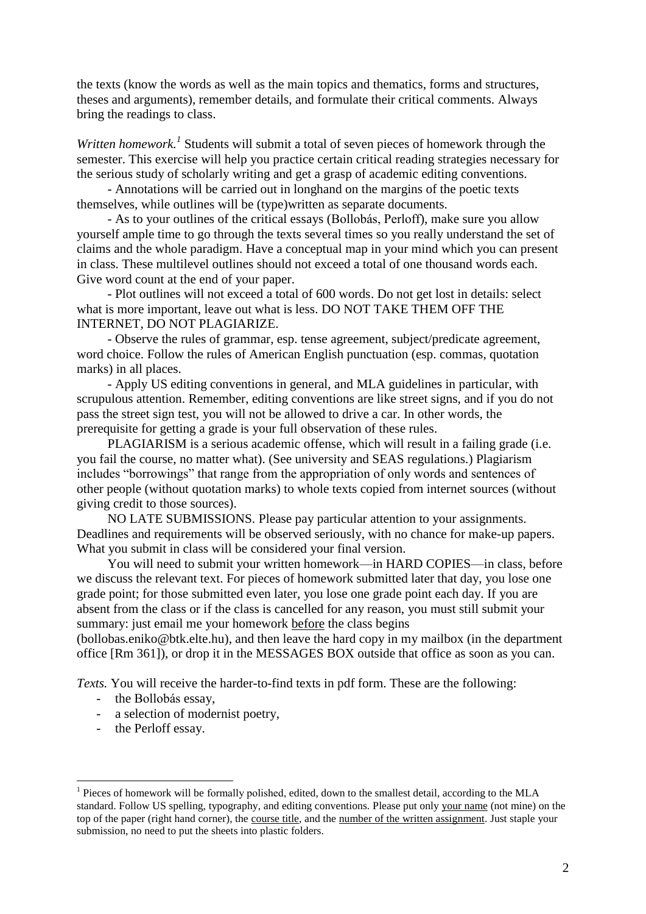the texts (know the words as well as the main topics and thematics, forms and structures, theses and arguments), remember details, and formulate their critical comments. Always bring the readings to class.

Written homework.<sup>1</sup> Students will submit a total of seven pieces of homework through the semester. This exercise will help you practice certain critical reading strategies necessary for the serious study of scholarly writing and get a grasp of academic editing conventions.

- Annotations will be carried out in longhand on the margins of the poetic texts themselves, while outlines will be (type)written as separate documents.

- As to your outlines of the critical essays (Bollobás, Perloff), make sure you allow yourself ample time to go through the texts several times so you really understand the set of claims and the whole paradigm. Have a conceptual map in your mind which you can present in class. These multilevel outlines should not exceed a total of one thousand words each. Give word count at the end of your paper.

- Plot outlines will not exceed a total of 600 words. Do not get lost in details: select what is more important, leave out what is less. DO NOT TAKE THEM OFF THE INTERNET, DO NOT PLAGIARIZE.

- Observe the rules of grammar, esp. tense agreement, subject/predicate agreement, word choice. Follow the rules of American English punctuation (esp. commas, quotation marks) in all places.

- Apply US editing conventions in general, and MLA guidelines in particular, with scrupulous attention. Remember, editing conventions are like street signs, and if you do not pass the street sign test, you will not be allowed to drive a car. In other words, the prerequisite for getting a grade is your full observation of these rules.

PLAGIARISM is a serious academic offense, which will result in a failing grade (i.e. you fail the course, no matter what). (See university and SEAS regulations.) Plagiarism includes "borrowings" that range from the appropriation of only words and sentences of other people (without quotation marks) to whole texts copied from internet sources (without giving credit to those sources).

NO LATE SUBMISSIONS. Please pay particular attention to your assignments. Deadlines and requirements will be observed seriously, with no chance for make-up papers. What you submit in class will be considered your final version.

You will need to submit your written homework—in HARD COPIES—in class, before we discuss the relevant text. For pieces of homework submitted later that day, you lose one grade point; for those submitted even later, you lose one grade point each day. If you are absent from the class or if the class is cancelled for any reason, you must still submit your summary: just email me your homework before the class begins

(bollobas.eniko@btk.elte.hu), and then leave the hard copy in my mailbox (in the department office [Rm 361]), or drop it in the MESSAGES BOX outside that office as soon as you can.

*Texts.* You will receive the harder-to-find texts in pdf form. These are the following:

- the Bollobás essay,
- a selection of modernist poetry,
- the Perloff essay.

1

<sup>&</sup>lt;sup>1</sup> Pieces of homework will be formally polished, edited, down to the smallest detail, according to the MLA standard. Follow US spelling, typography, and editing conventions. Please put only your name (not mine) on the top of the paper (right hand corner), the course title, and the number of the written assignment. Just staple your submission, no need to put the sheets into plastic folders.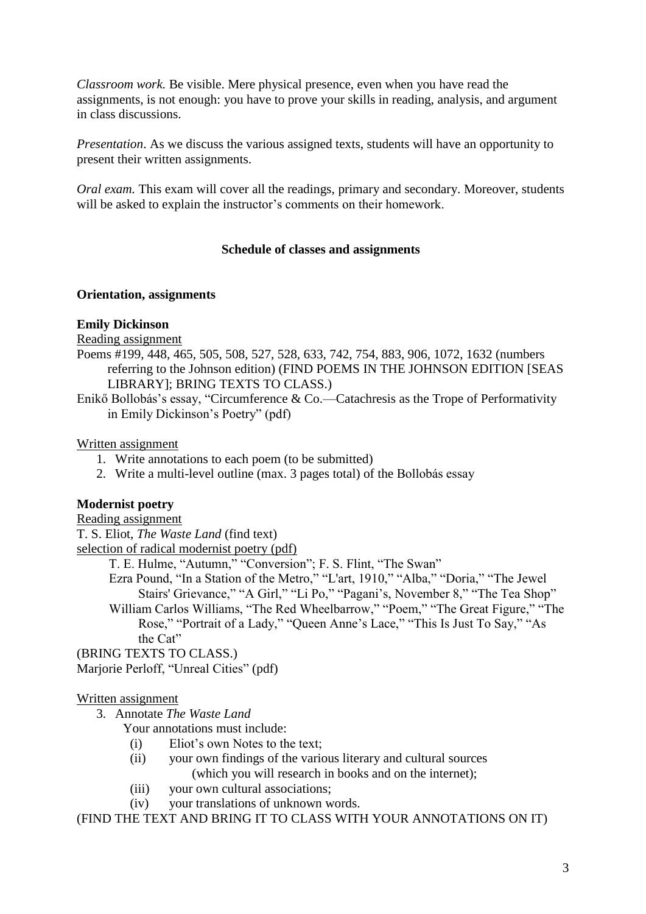*Classroom work.* Be visible. Mere physical presence, even when you have read the assignments, is not enough: you have to prove your skills in reading, analysis, and argument in class discussions.

*Presentation*. As we discuss the various assigned texts, students will have an opportunity to present their written assignments.

*Oral exam.* This exam will cover all the readings, primary and secondary. Moreover, students will be asked to explain the instructor's comments on their homework.

# **Schedule of classes and assignments**

#### **Orientation, assignments**

#### **Emily Dickinson**

Reading assignment

- Poems #199, 448, 465, 505, 508, 527, 528, 633, 742, 754, 883, 906, 1072, 1632 (numbers referring to the Johnson edition) (FIND POEMS IN THE JOHNSON EDITION [SEAS LIBRARY]; BRING TEXTS TO CLASS.)
- Enikő Bollobás's essay, "Circumference & Co.—Catachresis as the Trope of Performativity in Emily Dickinson's Poetry" (pdf)

# Written assignment

- 1. Write annotations to each poem (to be submitted)
- 2. Write a multi-level outline (max. 3 pages total) of the Bollobás essay

## **Modernist poetry**

Reading assignment T. S. Eliot, *The Waste Land* (find text)

selection of radical modernist poetry (pdf)

T. E. Hulme, "Autumn," "Conversion"; F. S. Flint, "The Swan"

Ezra Pound, "In a Station of the Metro," "L'art, 1910," "Alba," "Doria," "The Jewel Stairs' Grievance," "A Girl," "Li Po," "Pagani's, November 8," "The Tea Shop"

William Carlos Williams, "The Red Wheelbarrow," "Poem," "The Great Figure," "The Rose," "Portrait of a Lady," "Queen Anne's Lace," "This Is Just To Say," "As the Cat"

(BRING TEXTS TO CLASS.)

Marjorie Perloff, "Unreal Cities" (pdf)

# Written assignment

3. Annotate *The Waste Land*

Your annotations must include:

- (i) Eliot's own Notes to the text;
- (ii) your own findings of the various literary and cultural sources (which you will research in books and on the internet);
- (iii) your own cultural associations;
- (iv) your translations of unknown words.

(FIND THE TEXT AND BRING IT TO CLASS WITH YOUR ANNOTATIONS ON IT)